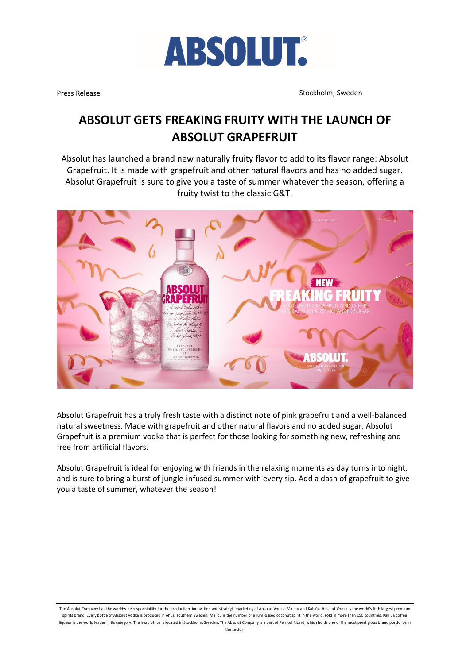

Press Release Stockholm, Sweden Stockholm, Sweden Stockholm, Sweden Stockholm, Sweden

### **ABSOLUT GETS FREAKING FRUITY WITH THE LAUNCH OF ABSOLUT GRAPEFRUIT**

Absolut has launched a brand new naturally fruity flavor to add to its flavor range: Absolut Grapefruit. It is made with grapefruit and other natural flavors and has no added sugar. Absolut Grapefruit is sure to give you a taste of summer whatever the season, offering a fruity twist to the classic G&T.



Absolut Grapefruit has a truly fresh taste with a distinct note of pink grapefruit and a well-balanced natural sweetness. Made with grapefruit and other natural flavors and no added sugar, Absolut Grapefruit is a premium vodka that is perfect for those looking for something new, refreshing and free from artificial flavors.

Absolut Grapefruit is ideal for enjoying with friends in the relaxing moments as day turns into night, and is sure to bring a burst of jungle-infused summer with every sip. Add a dash of grapefruit to give you a taste of summer, whatever the season!

The Absolut Company has the worldwide responsibility for the production, innovation and strategic marketing of Absolut Vodka, Malibu and Kahlúa. Absolut Vodka is the world's fifth largest premium spirits brand. Every bottle of Absolut Vodka is produced in Åhus, southern Sweden. Malibu is the number one rum-based coconut spirit in the world, sold in more than 150 countries. Kahlúa coffee liqueur is the world leader in its category. The head office is located in Stockholm, Sweden. The Absolut Company is a part of Pernod Ricard, which holds one of the most prestigious brand portfolios in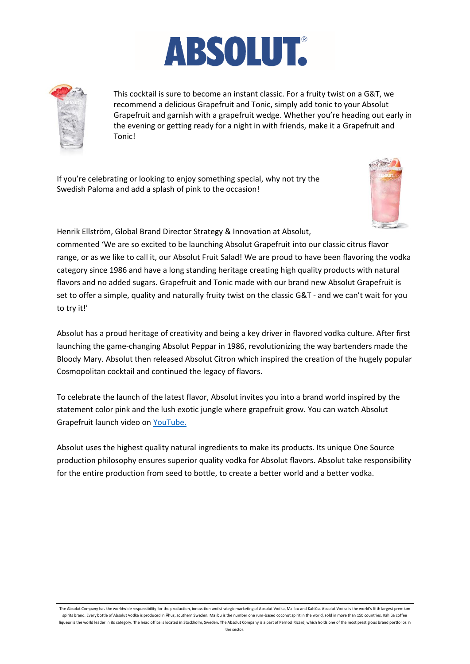



This cocktail is sure to become an instant classic. For a fruity twist on a G&T, we recommend a delicious Grapefruit and Tonic, simply add tonic to your Absolut Grapefruit and garnish with a grapefruit wedge. Whether you're heading out early in the evening or getting ready for a night in with friends, make it a Grapefruit and Tonic!

If you're celebrating or looking to enjoy something special, why not try the Swedish Paloma and add a splash of pink to the occasion!



Henrik Ellström, Global Brand Director Strategy & Innovation at Absolut,

commented 'We are so excited to be launching Absolut Grapefruit into our classic citrus flavor range, or as we like to call it, our Absolut Fruit Salad! We are proud to have been flavoring the vodka category since 1986 and have a long standing heritage creating high quality products with natural flavors and no added sugars. Grapefruit and Tonic made with our brand new Absolut Grapefruit is set to offer a simple, quality and naturally fruity twist on the classic G&T - and we can't wait for you to try it!'

Absolut has a proud heritage of creativity and being a key driver in flavored vodka culture. After first launching the game-changing Absolut Peppar in 1986, revolutionizing the way bartenders made the Bloody Mary. Absolut then released Absolut Citron which inspired the creation of the hugely popular Cosmopolitan cocktail and continued the legacy of flavors.

To celebrate the launch of the latest flavor, Absolut invites you into a brand world inspired by the statement color pink and the lush exotic jungle where grapefruit grow. You can watch Absolut Grapefruit launch video on [YouTube.](https://youtu.be/C9ptNgE9qHg)

Absolut uses the highest quality natural ingredients to make its products. Its unique One Source production philosophy ensures superior quality vodka for Absolut flavors. Absolut take responsibility for the entire production from seed to bottle, to create a better world and a better vodka.

The Absolut Company has the worldwide responsibility for the production, innovation and strategic marketing of Absolut Vodka, Malibu and Kahlúa. Absolut Vodka is the world's fifth largest premium spirits brand. Every bottle of Absolut Vodka is produced in Åhus, southern Sweden. Malibu is the number one rum-based coconut spirit in the world, sold in more than 150 countries. Kahlúa coffee liqueur is the world leader in its category. The head office is located in Stockholm, Sweden. The Absolut Company is a part of Pernod Ricard, which holds one of the most prestigious brand portfolios in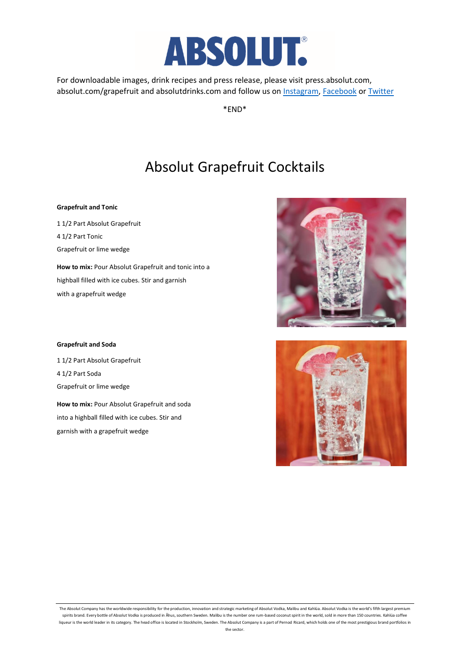

For downloadable images, drink recipes and press release, please visit press.absolut.com, absolut.com/grapefruit and absolutdrinks.com and follow us on [Instagram,](https://www.instagram.com/absolutvodka/) [Facebook](https://www.facebook.com/ABSOLUT/) o[r Twitter](https://twitter.com/absolutvodka)

\*END\*

## Absolut Grapefruit Cocktails

#### **Grapefruit and Tonic**

1 1/2 Part Absolut Grapefruit 4 1/2 Part Tonic Grapefruit or lime wedge **How to mix:** Pour Absolut Grapefruit and tonic into a highball filled with ice cubes. Stir and garnish

with a grapefruit wedge

#### **Grapefruit and Soda**

1 1/2 Part Absolut Grapefruit 4 1/2 Part Soda Grapefruit or lime wedge

**How to mix:** Pour Absolut Grapefruit and soda into a highball filled with ice cubes. Stir and garnish with a grapefruit wedge





The Absolut Company has the worldwide responsibility for the production, innovation and strategic marketing of Absolut Vodka, Malibu and Kahlúa. Absolut Vodka is the world's fifth largest premium spirits brand. Every bottle of Absolut Vodka is produced in Åhus, southern Sweden. Malibu is the number one rum-based coconut spirit in the world, sold in more than 150 countries. Kahlúa coffee liqueur is the world leader in its category. The head office is located in Stockholm, Sweden. The Absolut Company is a part of Pernod Ricard, which holds one of the most prestigious brand portfolios in